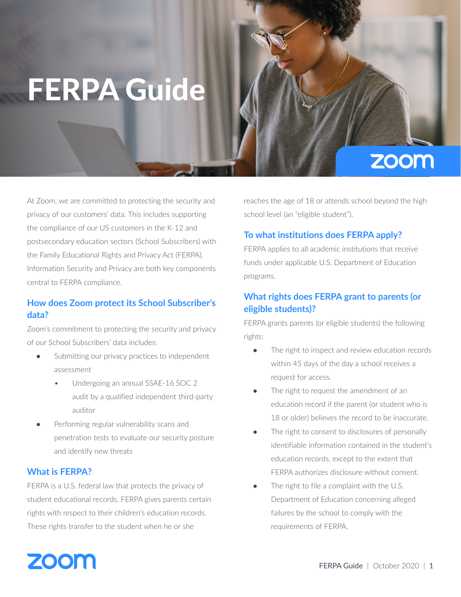# FERPA Guide

# **ZOOM**

At Zoom, we are committed to protecting the security and privacy of our customers' data. This includes supporting the compliance of our US customers in the K-12 and postsecondary education sectors (School Subscribers) with the Family Educational Rights and Privacy Act (FERPA). Information Security and Privacy are both key components central to FERPA compliance.

# **How does Zoom protect its School Subscriber's data?**

Zoom's commitment to protecting the security and privacy of our School Subscribers' data includes:

- Submitting our privacy practices to independent assessment
	- Undergoing an annual SSAE-16 SOC 2 audit by a qualified independent third-party auditor
- Performing regular vulnerability scans and penetration tests to evaluate our security posture and identify new threats

#### **What is FERPA?**

FERPA is a U.S. federal law that protects the privacy of student educational records. FERPA gives parents certain rights with respect to their children's education records. These rights transfer to the student when he or she

reaches the age of 18 or attends school beyond the high school level (an "eligible student").

### **To what institutions does FERPA apply?**

FERPA applies to all academic institutions that receive funds under applicable U.S. Department of Education programs.

# **What rights does FERPA grant to parents (or eligible students)?**

FERPA grants parents (or eligible students) the following rights:

- The right to inspect and review education records within 45 days of the day a school receives a request for access.
- The right to request the amendment of an education record if the parent (or student who is 18 or older) believes the record to be inaccurate.
- The right to consent to disclosures of personally identifiable information contained in the student's education records, except to the extent that FERPA authorizes disclosure without consent.
- The right to file a complaint with the U.S. Department of Education concerning alleged failures by the school to comply with the requirements of FERPA.

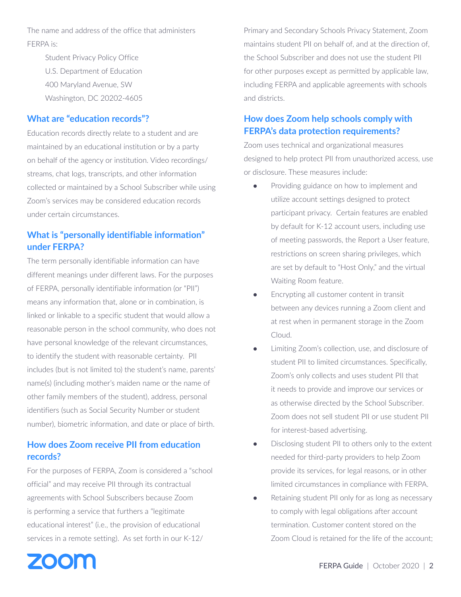The name and address of the office that administers FERPA is:

> Student Privacy Policy Office U.S. Department of Education 400 Maryland Avenue, SW Washington, DC 20202-4605

#### **What are "education records"?**

Education records directly relate to a student and are maintained by an educational institution or by a party on behalf of the agency or institution. Video recordings/ streams, chat logs, transcripts, and other information collected or maintained by a School Subscriber while using Zoom's services may be considered education records under certain circumstances.

# **What is "personally identifiable information" under FERPA?**

The term personally identifiable information can have different meanings under different laws. For the purposes of FERPA, personally identifiable information (or "PII") means any information that, alone or in combination, is linked or linkable to a specific student that would allow a reasonable person in the school community, who does not have personal knowledge of the relevant circumstances, to identify the student with reasonable certainty. PII includes (but is not limited to) the student's name, parents' name(s) (including mother's maiden name or the name of other family members of the student), address, personal identifiers (such as Social Security Number or student number), biometric information, and date or place of birth.

# **How does Zoom receive PII from education records?**

For the purposes of FERPA, Zoom is considered a "school official" and may receive PII through its contractual agreements with School Subscribers because Zoom is performing a service that furthers a "legitimate educational interest" (i.e., the provision of educational services in a remote setting). As set forth in our K-12/

Primary and Secondary Schools Privacy Statement, Zoom maintains student PII on behalf of, and at the direction of, the School Subscriber and does not use the student PII for other purposes except as permitted by applicable law, including FERPA and applicable agreements with schools and districts.

# **How does Zoom help schools comply with FERPA's data protection requirements?**

Zoom uses technical and organizational measures designed to help protect PII from unauthorized access, use or disclosure. These measures include:

- Providing guidance on how to implement and utilize account settings designed to protect participant privacy. Certain features are enabled by default for K-12 account users, including use of meeting passwords, the Report a User feature, restrictions on screen sharing privileges, which are set by default to "Host Only," and the virtual Waiting Room feature.
- Encrypting all customer content in transit between any devices running a Zoom client and at rest when in permanent storage in the Zoom Cloud.
- Limiting Zoom's collection, use, and disclosure of student PII to limited circumstances. Specifically, Zoom's only collects and uses student PII that it needs to provide and improve our services or as otherwise directed by the School Subscriber. Zoom does not sell student PII or use student PII for interest-based advertising.
- Disclosing student PII to others only to the extent needed for third-party providers to help Zoom provide its services, for legal reasons, or in other limited circumstances in compliance with FERPA.
- Retaining student PII only for as long as necessary to comply with legal obligations after account termination. Customer content stored on the Zoom Cloud is retained for the life of the account;